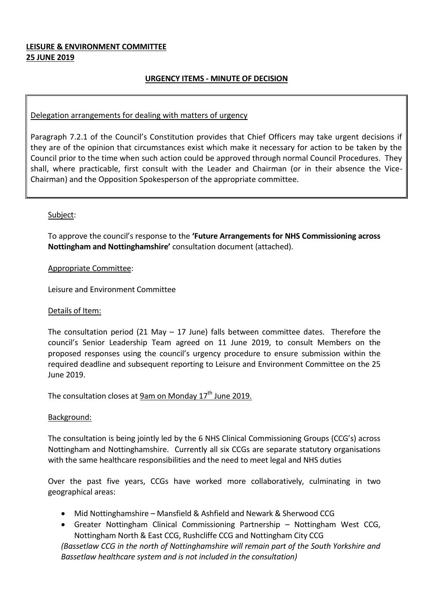## **LEISURE & ENVIRONMENT COMMITTEE 25 JUNE 2019**

## **URGENCY ITEMS - MINUTE OF DECISION**

#### Delegation arrangements for dealing with matters of urgency

Paragraph 7.2.1 of the Council's Constitution provides that Chief Officers may take urgent decisions if they are of the opinion that circumstances exist which make it necessary for action to be taken by the Council prior to the time when such action could be approved through normal Council Procedures. They shall, where practicable, first consult with the Leader and Chairman (or in their absence the Vice-Chairman) and the Opposition Spokesperson of the appropriate committee.

## Subject:

To approve the council's response to the **'Future Arrangements for NHS Commissioning across Nottingham and Nottinghamshire'** consultation document (attached).

#### Appropriate Committee:

Leisure and Environment Committee

#### Details of Item:

The consultation period (21 May  $-$  17 June) falls between committee dates. Therefore the council's Senior Leadership Team agreed on 11 June 2019, to consult Members on the proposed responses using the council's urgency procedure to ensure submission within the required deadline and subsequent reporting to Leisure and Environment Committee on the 25 June 2019.

The consultation closes at <u>9am on Monday 17<sup>th</sup> June 2019.</u>

#### Background:

The consultation is being jointly led by the 6 NHS Clinical Commissioning Groups (CCG's) across Nottingham and Nottinghamshire. Currently all six CCGs are separate statutory organisations with the same healthcare responsibilities and the need to meet legal and NHS duties

Over the past five years, CCGs have worked more collaboratively, culminating in two geographical areas:

- Mid Nottinghamshire Mansfield & Ashfield and Newark & Sherwood CCG
- Greater Nottingham Clinical Commissioning Partnership Nottingham West CCG, Nottingham North & East CCG, Rushcliffe CCG and Nottingham City CCG

*(Bassetlaw CCG in the north of Nottinghamshire will remain part of the South Yorkshire and Bassetlaw healthcare system and is not included in the consultation)*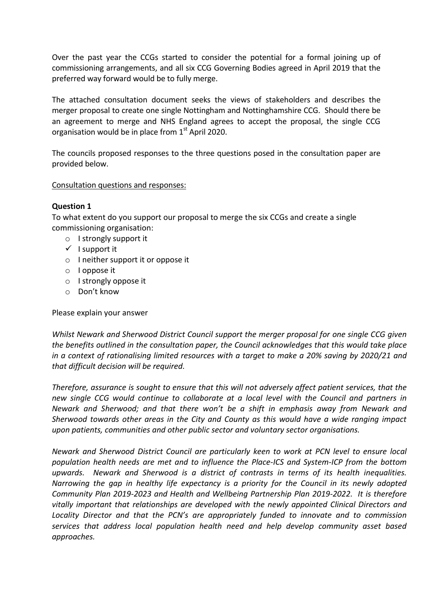Over the past year the CCGs started to consider the potential for a formal joining up of commissioning arrangements, and all six CCG Governing Bodies agreed in April 2019 that the preferred way forward would be to fully merge.

The attached consultation document seeks the views of stakeholders and describes the merger proposal to create one single Nottingham and Nottinghamshire CCG. Should there be an agreement to merge and NHS England agrees to accept the proposal, the single CCG organisation would be in place from  $1<sup>st</sup>$  April 2020.

The councils proposed responses to the three questions posed in the consultation paper are provided below.

## Consultation questions and responses:

## **Question 1**

To what extent do you support our proposal to merge the six CCGs and create a single commissioning organisation:

- o I strongly support it
- $\checkmark$  I support it
- o I neither support it or oppose it
- o I oppose it
- o I strongly oppose it
- o Don't know

Please explain your answer

*Whilst Newark and Sherwood District Council support the merger proposal for one single CCG given the benefits outlined in the consultation paper, the Council acknowledges that this would take place in a context of rationalising limited resources with a target to make a 20% saving by 2020/21 and that difficult decision will be required.*

*Therefore, assurance is sought to ensure that this will not adversely affect patient services, that the new single CCG would continue to collaborate at a local level with the Council and partners in Newark and Sherwood; and that there won't be a shift in emphasis away from Newark and Sherwood towards other areas in the City and County as this would have a wide ranging impact upon patients, communities and other public sector and voluntary sector organisations.*

*Newark and Sherwood District Council are particularly keen to work at PCN level to ensure local population health needs are met and to influence the Place-ICS and System-ICP from the bottom upwards. Newark and Sherwood is a district of contrasts in terms of its health inequalities. Narrowing the gap in healthy life expectancy is a priority for the Council in its newly adopted Community Plan 2019-2023 and Health and Wellbeing Partnership Plan 2019-2022. It is therefore vitally important that relationships are developed with the newly appointed Clinical Directors and Locality Director and that the PCN's are appropriately funded to innovate and to commission services that address local population health need and help develop community asset based approaches.*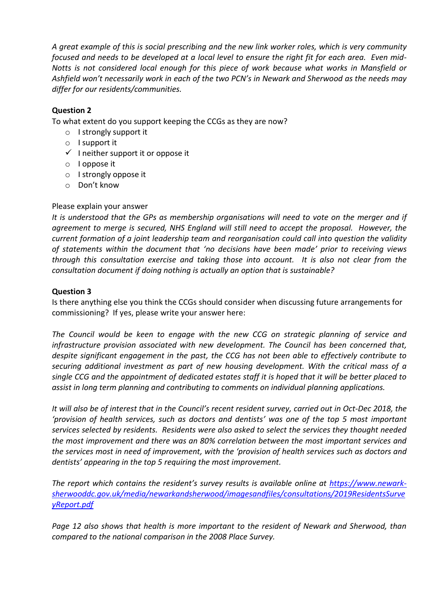*A great example of this is social prescribing and the new link worker roles, which is very community focused and needs to be developed at a local level to ensure the right fit for each area. Even mid-Notts is not considered local enough for this piece of work because what works in Mansfield or Ashfield won't necessarily work in each of the two PCN's in Newark and Sherwood as the needs may differ for our residents/communities.* 

# **Question 2**

To what extent do you support keeping the CCGs as they are now?

- o I strongly support it
- o I support it
- $\checkmark$  I neither support it or oppose it
- o I oppose it
- o I strongly oppose it
- o Don't know

## Please explain your answer

*It is understood that the GPs as membership organisations will need to vote on the merger and if agreement to merge is secured, NHS England will still need to accept the proposal. However, the current formation of a joint leadership team and reorganisation could call into question the validity of statements within the document that 'no decisions have been made' prior to receiving views through this consultation exercise and taking those into account. It is also not clear from the consultation document if doing nothing is actually an option that is sustainable?*

## **Question 3**

Is there anything else you think the CCGs should consider when discussing future arrangements for commissioning? If yes, please write your answer here:

*The Council would be keen to engage with the new CCG on strategic planning of service and infrastructure provision associated with new development. The Council has been concerned that, despite significant engagement in the past, the CCG has not been able to effectively contribute to securing additional investment as part of new housing development. With the critical mass of a single CCG and the appointment of dedicated estates staff it is hoped that it will be better placed to assist in long term planning and contributing to comments on individual planning applications.*

*It will also be of interest that in the Council's recent resident survey, carried out in Oct-Dec 2018, the 'provision of health services, such as doctors and dentists' was one of the top 5 most important services selected by residents. Residents were also asked to select the services they thought needed the most improvement and there was an 80% correlation between the most important services and the services most in need of improvement, with the 'provision of health services such as doctors and dentists' appearing in the top 5 requiring the most improvement.*

*The report which contains the resident's survey results is available online at [https://www.newark](https://www.newark-sherwooddc.gov.uk/media/newarkandsherwood/imagesandfiles/consultations/2019ResidentsSurveyReport.pdf)[sherwooddc.gov.uk/media/newarkandsherwood/imagesandfiles/consultations/2019ResidentsSurve](https://www.newark-sherwooddc.gov.uk/media/newarkandsherwood/imagesandfiles/consultations/2019ResidentsSurveyReport.pdf) [yReport.pdf](https://www.newark-sherwooddc.gov.uk/media/newarkandsherwood/imagesandfiles/consultations/2019ResidentsSurveyReport.pdf)*

*Page 12 also shows that health is more important to the resident of Newark and Sherwood, than compared to the national comparison in the 2008 Place Survey.*